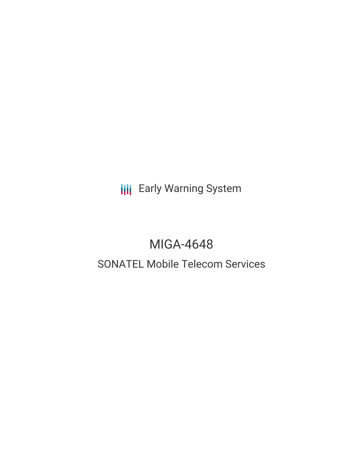**III** Early Warning System

# MIGA-4648

# SONATEL Mobile Telecom Services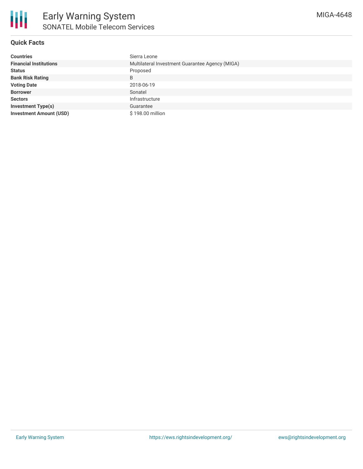

## **Quick Facts**

| <b>Countries</b>               | Sierra Leone                                    |
|--------------------------------|-------------------------------------------------|
| <b>Financial Institutions</b>  | Multilateral Investment Guarantee Agency (MIGA) |
| <b>Status</b>                  | Proposed                                        |
| <b>Bank Risk Rating</b>        | B                                               |
| <b>Voting Date</b>             | 2018-06-19                                      |
| <b>Borrower</b>                | Sonatel                                         |
| <b>Sectors</b>                 | Infrastructure                                  |
| <b>Investment Type(s)</b>      | Guarantee                                       |
| <b>Investment Amount (USD)</b> | \$198.00 million                                |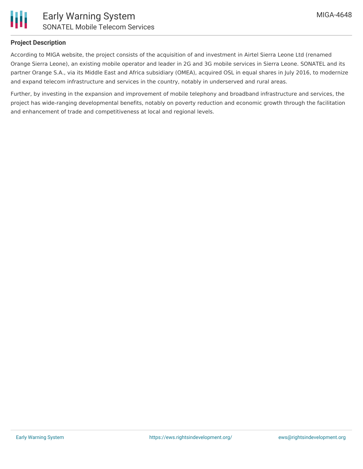

## **Project Description**

According to MIGA website, the project consists of the acquisition of and investment in Airtel Sierra Leone Ltd (renamed Orange Sierra Leone), an existing mobile operator and leader in 2G and 3G mobile services in Sierra Leone. SONATEL and its partner Orange S.A., via its Middle East and Africa subsidiary (OMEA), acquired OSL in equal shares in July 2016, to modernize and expand telecom infrastructure and services in the country, notably in underserved and rural areas.

Further, by investing in the expansion and improvement of mobile telephony and broadband infrastructure and services, the project has wide-ranging developmental benefits, notably on poverty reduction and economic growth through the facilitation and enhancement of trade and competitiveness at local and regional levels.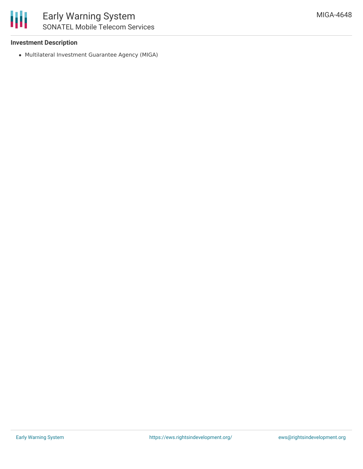#### **Investment Description**

Multilateral Investment Guarantee Agency (MIGA)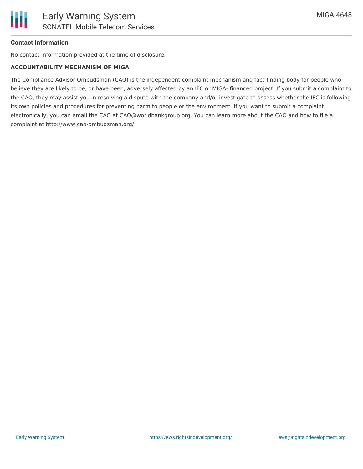#### **Contact Information**

No contact information provided at the time of disclosure.

#### **ACCOUNTABILITY MECHANISM OF MIGA**

The Compliance Advisor Ombudsman (CAO) is the independent complaint mechanism and fact-finding body for people who believe they are likely to be, or have been, adversely affected by an IFC or MIGA- financed project. If you submit a complaint to the CAO, they may assist you in resolving a dispute with the company and/or investigate to assess whether the IFC is following its own policies and procedures for preventing harm to people or the environment. If you want to submit a complaint electronically, you can email the CAO at CAO@worldbankgroup.org. You can learn more about the CAO and how to file a complaint at http://www.cao-ombudsman.org/